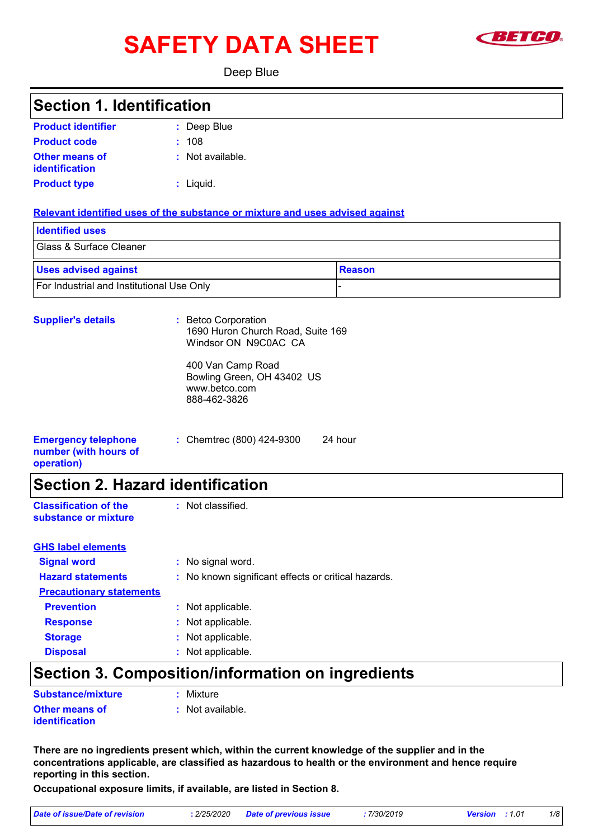# **SAFETY DATA SHEET Example 1**



Deep Blue

### Deep Blue **: :** Not available. **:** Liquid. Chemtrec (800) 424-9300 24 hour **: Product identifier Other means of identification Product type Emergency telephone number (with hours of operation) Section 1. Identification Supplier's details :** Betco Corporation 1690 Huron Church Road, Suite 169 Windsor ON N9C0AC CA 400 Van Camp Road Bowling Green, OH 43402 US www.betco.com 888-462-3826 **Relevant identified uses of the substance or mixture and uses advised against** Glass & Surface Cleaner **Identified uses Example 3 Alle Section 2 Alle Section 2 Alle Section 2 Alle Section 2 Alle Section 2 Alle Section 2 Alle Section 2 Alle Section 2 Alle Section 2 Alle Section 2 Alle Section 2 Alle Section 2 Alle Section 2 Alle Section 2 A Product code :** 108 **Section 2. Hazard identification Classification of the substance or mixture** : Not classified. **Signal word :** No signal word. **Hazard statements :** No known significant effects or critical hazards. **Precautionary statements Prevention :** Not applicable. **Response :** Not applicable. **GHS label elements**

### **Section 3. Composition/information on ingredients**

**Other means of identification :** Not available. **Substance/mixture :** Mixture

**Storage :** Not applicable. **Disposal :** Not applicable.

**There are no ingredients present which, within the current knowledge of the supplier and in the concentrations applicable, are classified as hazardous to health or the environment and hence require reporting in this section.**

**Occupational exposure limits, if available, are listed in Section 8.**

| Date of issue/Date of revision | : 2/25/2020 Date of previous issue | 7/30/2019 | <b>Version</b> : 1.01 | 1/8 |
|--------------------------------|------------------------------------|-----------|-----------------------|-----|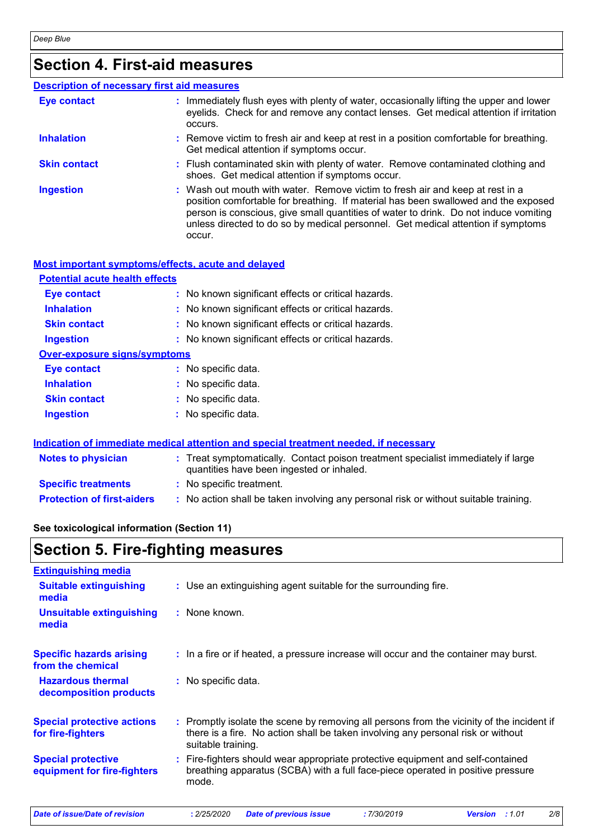## **Section 4. First-aid measures**

|                     | <b>Description of necessary first aid measures</b>                                                                                                                                                                                                                                                                                                        |
|---------------------|-----------------------------------------------------------------------------------------------------------------------------------------------------------------------------------------------------------------------------------------------------------------------------------------------------------------------------------------------------------|
| <b>Eye contact</b>  | : Immediately flush eyes with plenty of water, occasionally lifting the upper and lower<br>eyelids. Check for and remove any contact lenses. Get medical attention if irritation<br>occurs.                                                                                                                                                               |
| <b>Inhalation</b>   | : Remove victim to fresh air and keep at rest in a position comfortable for breathing.<br>Get medical attention if symptoms occur.                                                                                                                                                                                                                        |
| <b>Skin contact</b> | : Flush contaminated skin with plenty of water. Remove contaminated clothing and<br>shoes. Get medical attention if symptoms occur.                                                                                                                                                                                                                       |
| <b>Ingestion</b>    | : Wash out mouth with water. Remove victim to fresh air and keep at rest in a<br>position comfortable for breathing. If material has been swallowed and the exposed<br>person is conscious, give small quantities of water to drink. Do not induce vomiting<br>unless directed to do so by medical personnel. Get medical attention if symptoms<br>occur. |

#### **Most important symptoms/effects, acute and delayed**

#### **Potential acute health effects**

| <b>Eye contact</b>                  | : No known significant effects or critical hazards. |
|-------------------------------------|-----------------------------------------------------|
| <b>Inhalation</b>                   | : No known significant effects or critical hazards. |
| <b>Skin contact</b>                 | : No known significant effects or critical hazards. |
| <b>Ingestion</b>                    | : No known significant effects or critical hazards. |
| <b>Over-exposure signs/symptoms</b> |                                                     |
| <b>Eye contact</b>                  | : No specific data.                                 |
| <b>Inhalation</b>                   | : No specific data.                                 |
| <b>Skin contact</b>                 | : No specific data.                                 |
| <b>Ingestion</b>                    | : No specific data.                                 |

#### **Indication of immediate medical attention and special treatment needed, if necessary**

| <b>Notes to physician</b>         | : Treat symptomatically. Contact poison treatment specialist immediately if large<br>quantities have been ingested or inhaled. |
|-----------------------------------|--------------------------------------------------------------------------------------------------------------------------------|
| <b>Specific treatments</b>        | : No specific treatment.                                                                                                       |
| <b>Protection of first-aiders</b> | No action shall be taken involving any personal risk or without suitable training.                                             |

#### **See toxicological information (Section 11)**

### **Section 5. Fire-fighting measures**

| <b>Extinguishing media</b>                               |                                                                                                                                                                                                     |
|----------------------------------------------------------|-----------------------------------------------------------------------------------------------------------------------------------------------------------------------------------------------------|
| <b>Suitable extinguishing</b><br>media                   | : Use an extinguishing agent suitable for the surrounding fire.                                                                                                                                     |
| <b>Unsuitable extinguishing</b><br>media                 | : None known.                                                                                                                                                                                       |
| <b>Specific hazards arising</b><br>from the chemical     | : In a fire or if heated, a pressure increase will occur and the container may burst.                                                                                                               |
| <b>Hazardous thermal</b><br>decomposition products       | : No specific data.                                                                                                                                                                                 |
| <b>Special protective actions</b><br>for fire-fighters   | : Promptly isolate the scene by removing all persons from the vicinity of the incident if<br>there is a fire. No action shall be taken involving any personal risk or without<br>suitable training. |
| <b>Special protective</b><br>equipment for fire-fighters | : Fire-fighters should wear appropriate protective equipment and self-contained<br>breathing apparatus (SCBA) with a full face-piece operated in positive pressure<br>mode.                         |
| Date of issue/Date of revision                           | 2/8<br>: 2/25/2020<br><b>Date of previous issue</b><br>:7/30/2019<br>:1.01<br><b>Version</b>                                                                                                        |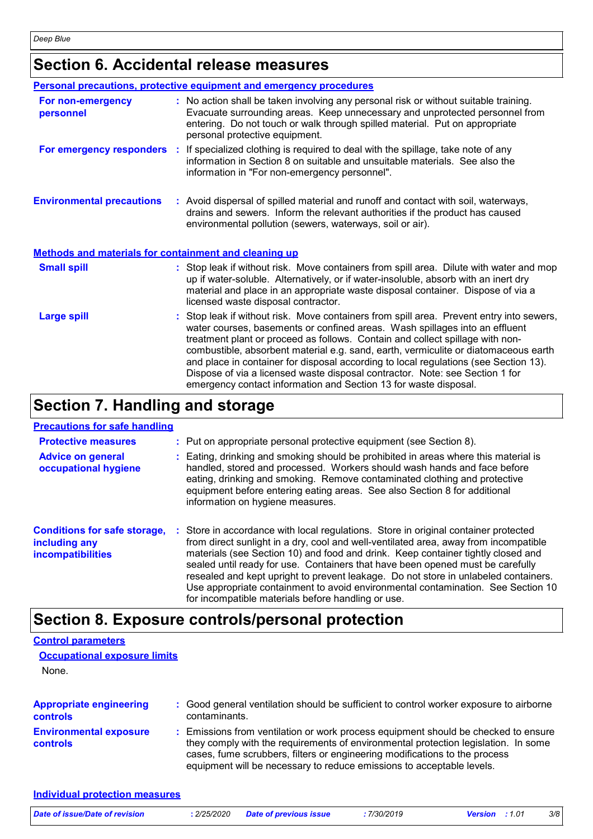### **Section 6. Accidental release measures**

|                                                              | <b>Personal precautions, protective equipment and emergency procedures</b>                                                                                                                                                                                                                                                                                                                                                                                                                                                                                                                  |
|--------------------------------------------------------------|---------------------------------------------------------------------------------------------------------------------------------------------------------------------------------------------------------------------------------------------------------------------------------------------------------------------------------------------------------------------------------------------------------------------------------------------------------------------------------------------------------------------------------------------------------------------------------------------|
| For non-emergency<br>personnel                               | : No action shall be taken involving any personal risk or without suitable training.<br>Evacuate surrounding areas. Keep unnecessary and unprotected personnel from<br>entering. Do not touch or walk through spilled material. Put on appropriate<br>personal protective equipment.                                                                                                                                                                                                                                                                                                        |
|                                                              | <b>For emergency responders</b> : If specialized clothing is required to deal with the spillage, take note of any<br>information in Section 8 on suitable and unsuitable materials. See also the<br>information in "For non-emergency personnel".                                                                                                                                                                                                                                                                                                                                           |
| <b>Environmental precautions</b>                             | : Avoid dispersal of spilled material and runoff and contact with soil, waterways,<br>drains and sewers. Inform the relevant authorities if the product has caused<br>environmental pollution (sewers, waterways, soil or air).                                                                                                                                                                                                                                                                                                                                                             |
| <b>Methods and materials for containment and cleaning up</b> |                                                                                                                                                                                                                                                                                                                                                                                                                                                                                                                                                                                             |
| <b>Small spill</b>                                           | : Stop leak if without risk. Move containers from spill area. Dilute with water and mop<br>up if water-soluble. Alternatively, or if water-insoluble, absorb with an inert dry<br>material and place in an appropriate waste disposal container. Dispose of via a<br>licensed waste disposal contractor.                                                                                                                                                                                                                                                                                    |
| <b>Large spill</b>                                           | : Stop leak if without risk. Move containers from spill area. Prevent entry into sewers,<br>water courses, basements or confined areas. Wash spillages into an effluent<br>treatment plant or proceed as follows. Contain and collect spillage with non-<br>combustible, absorbent material e.g. sand, earth, vermiculite or diatomaceous earth<br>and place in container for disposal according to local regulations (see Section 13).<br>Dispose of via a licensed waste disposal contractor. Note: see Section 1 for<br>emergency contact information and Section 13 for waste disposal. |

### **Section 7. Handling and storage**

#### **Precautions for safe handling**

**Individual protection measures**

| <b>Protective measures</b><br><b>Advice on general</b><br>occupational hygiene | : Put on appropriate personal protective equipment (see Section 8).<br>: Eating, drinking and smoking should be prohibited in areas where this material is<br>handled, stored and processed. Workers should wash hands and face before<br>eating, drinking and smoking. Remove contaminated clothing and protective<br>equipment before entering eating areas. See also Section 8 for additional<br>information on hygiene measures.                                                                                                                                               |
|--------------------------------------------------------------------------------|------------------------------------------------------------------------------------------------------------------------------------------------------------------------------------------------------------------------------------------------------------------------------------------------------------------------------------------------------------------------------------------------------------------------------------------------------------------------------------------------------------------------------------------------------------------------------------|
| <b>Conditions for safe storage,</b><br>including any<br>incompatibilities      | : Store in accordance with local regulations. Store in original container protected<br>from direct sunlight in a dry, cool and well-ventilated area, away from incompatible<br>materials (see Section 10) and food and drink. Keep container tightly closed and<br>sealed until ready for use. Containers that have been opened must be carefully<br>resealed and kept upright to prevent leakage. Do not store in unlabeled containers.<br>Use appropriate containment to avoid environmental contamination. See Section 10<br>for incompatible materials before handling or use. |

### **Section 8. Exposure controls/personal protection**

### None. **Control parameters Occupational exposure limits**

| <b>Appropriate engineering</b>                   | : Good general ventilation should be sufficient to control worker exposure to airborne                                                                                                                                                                                                                                          |
|--------------------------------------------------|---------------------------------------------------------------------------------------------------------------------------------------------------------------------------------------------------------------------------------------------------------------------------------------------------------------------------------|
| <b>controls</b>                                  | contaminants.                                                                                                                                                                                                                                                                                                                   |
| <b>Environmental exposure</b><br><b>controls</b> | : Emissions from ventilation or work process equipment should be checked to ensure<br>they comply with the requirements of environmental protection legislation. In some<br>cases, fume scrubbers, filters or engineering modifications to the process<br>equipment will be necessary to reduce emissions to acceptable levels. |

| Date of issue/Date of revision | : 2/25/2020 Date of previous issue | 7/30/2019 | <b>Version</b> : 1.01 | 3/8 |
|--------------------------------|------------------------------------|-----------|-----------------------|-----|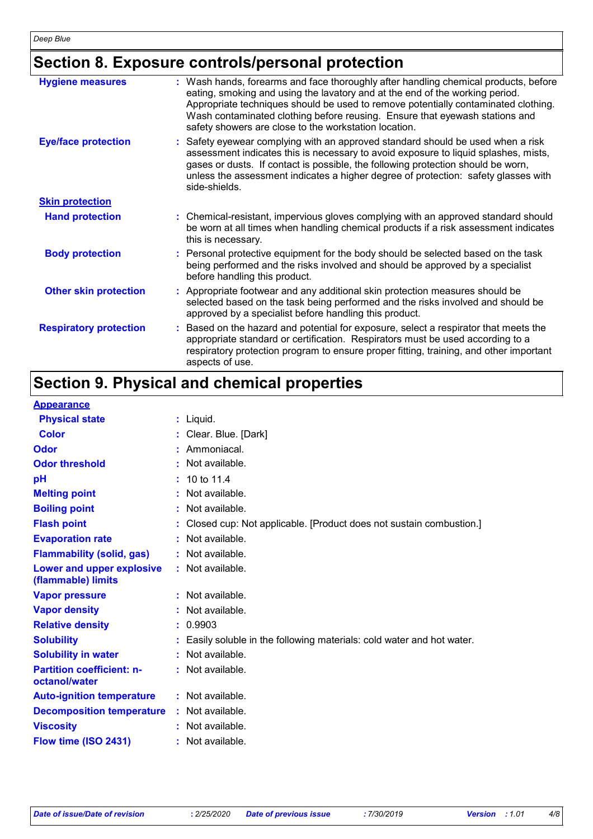### **Section 8. Exposure controls/personal protection**

| <b>Hygiene measures</b>       | Wash hands, forearms and face thoroughly after handling chemical products, before<br>÷.<br>eating, smoking and using the lavatory and at the end of the working period.<br>Appropriate techniques should be used to remove potentially contaminated clothing.<br>Wash contaminated clothing before reusing. Ensure that eyewash stations and<br>safety showers are close to the workstation location. |
|-------------------------------|-------------------------------------------------------------------------------------------------------------------------------------------------------------------------------------------------------------------------------------------------------------------------------------------------------------------------------------------------------------------------------------------------------|
| <b>Eye/face protection</b>    | Safety eyewear complying with an approved standard should be used when a risk<br>assessment indicates this is necessary to avoid exposure to liquid splashes, mists,<br>gases or dusts. If contact is possible, the following protection should be worn,<br>unless the assessment indicates a higher degree of protection: safety glasses with<br>side-shields.                                       |
| <b>Skin protection</b>        |                                                                                                                                                                                                                                                                                                                                                                                                       |
| <b>Hand protection</b>        | : Chemical-resistant, impervious gloves complying with an approved standard should<br>be worn at all times when handling chemical products if a risk assessment indicates<br>this is necessary.                                                                                                                                                                                                       |
| <b>Body protection</b>        | Personal protective equipment for the body should be selected based on the task<br>being performed and the risks involved and should be approved by a specialist<br>before handling this product.                                                                                                                                                                                                     |
| <b>Other skin protection</b>  | Appropriate footwear and any additional skin protection measures should be<br>selected based on the task being performed and the risks involved and should be<br>approved by a specialist before handling this product.                                                                                                                                                                               |
| <b>Respiratory protection</b> | Based on the hazard and potential for exposure, select a respirator that meets the<br>appropriate standard or certification. Respirators must be used according to a<br>respiratory protection program to ensure proper fitting, training, and other important<br>aspects of use.                                                                                                                     |

### **Section 9. Physical and chemical properties**

#### **Appearance**

| <b>Physical state</b>                             | : Liquid.                                                              |
|---------------------------------------------------|------------------------------------------------------------------------|
| <b>Color</b>                                      | : Clear. Blue. [Dark]                                                  |
| Odor                                              | : Ammoniacal.                                                          |
| <b>Odor threshold</b>                             | Not available.                                                         |
| рH                                                | $: 10 \text{ to } 11.4$                                                |
| <b>Melting point</b>                              | : Not available.                                                       |
| <b>Boiling point</b>                              | : Not available.                                                       |
| <b>Flash point</b>                                | Closed cup: Not applicable. [Product does not sustain combustion.]     |
| <b>Evaporation rate</b>                           | : Not available.                                                       |
| <b>Flammability (solid, gas)</b>                  | : Not available.                                                       |
| Lower and upper explosive<br>(flammable) limits   | : Not available.                                                       |
| <b>Vapor pressure</b>                             | : Not available.                                                       |
| <b>Vapor density</b>                              | : Not available.                                                       |
| <b>Relative density</b>                           | : 0.9903                                                               |
| <b>Solubility</b>                                 | : Easily soluble in the following materials: cold water and hot water. |
| <b>Solubility in water</b>                        | : Not available.                                                       |
| <b>Partition coefficient: n-</b><br>octanol/water | $:$ Not available.                                                     |
| <b>Auto-ignition temperature</b>                  | : Not available.                                                       |
| <b>Decomposition temperature</b>                  | $:$ Not available.                                                     |
| <b>Viscosity</b>                                  | : Not available.                                                       |
| Flow time (ISO 2431)                              | $:$ Not available.                                                     |
|                                                   |                                                                        |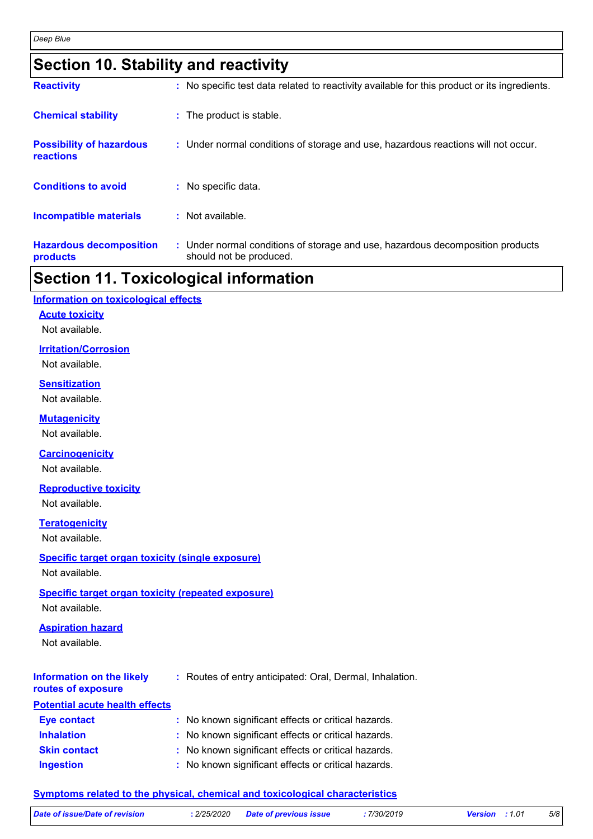### **Section 10. Stability and reactivity**

| <b>Reactivity</b>                            | : No specific test data related to reactivity available for this product or its ingredients.              |
|----------------------------------------------|-----------------------------------------------------------------------------------------------------------|
| <b>Chemical stability</b>                    | : The product is stable.                                                                                  |
| <b>Possibility of hazardous</b><br>reactions | : Under normal conditions of storage and use, hazardous reactions will not occur.                         |
| <b>Conditions to avoid</b>                   | : No specific data.                                                                                       |
| <b>Incompatible materials</b>                | : Not available.                                                                                          |
| <b>Hazardous decomposition</b><br>products   | : Under normal conditions of storage and use, hazardous decomposition products<br>should not be produced. |

### **Section 11. Toxicological information**

### **Acute toxicity Information on toxicological effects**

Not available.

### **Irritation/Corrosion**

Not available.

#### **Sensitization**

Not available.

### **Mutagenicity**

Not available.

### **Carcinogenicity**

Not available.

### **Reproductive toxicity**

Not available.

#### **Teratogenicity** Not available.

### **Specific target organ toxicity (single exposure)**

Not available.

### **Specific target organ toxicity (repeated exposure)**

Not available.

### **Aspiration hazard**

Not available.

#### **Information on the likely :** Routes of entry anticipated: Oral, Dermal, Inhalation.

### **routes of exposure**

| <b>Potential acute health effects</b> |                                                     |
|---------------------------------------|-----------------------------------------------------|
| <b>Eye contact</b>                    | : No known significant effects or critical hazards. |
| <b>Inhalation</b>                     | : No known significant effects or critical hazards. |
| <b>Skin contact</b>                   | : No known significant effects or critical hazards. |
| <b>Ingestion</b>                      | : No known significant effects or critical hazards. |

### **Symptoms related to the physical, chemical and toxicological characteristics**

| Date of issue/Date of revision | : 2/25/2020 Date of previous issue | 7/30/2019 | <b>Version</b> : 1.01 | 5/8 |
|--------------------------------|------------------------------------|-----------|-----------------------|-----|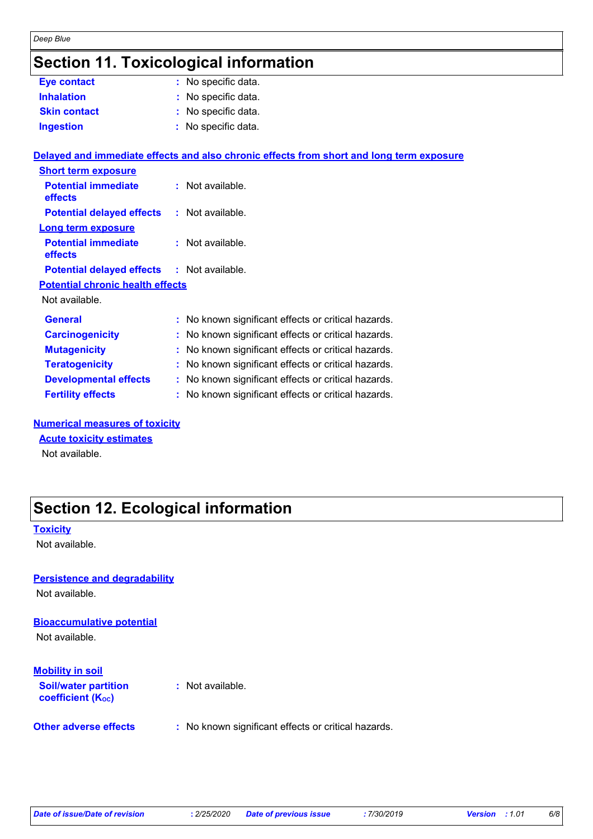### **Section 11. Toxicological information**

| <b>Eye contact</b>                                | : No specific data.                                                                      |
|---------------------------------------------------|------------------------------------------------------------------------------------------|
| <b>Inhalation</b>                                 | : No specific data.                                                                      |
| <b>Skin contact</b>                               | : No specific data.                                                                      |
| <b>Ingestion</b>                                  | : No specific data.                                                                      |
|                                                   | Delayed and immediate effects and also chronic effects from short and long term exposure |
| <b>Short term exposure</b>                        |                                                                                          |
| <b>Potential immediate</b><br>effects             | $:$ Not available.                                                                       |
| <b>Potential delayed effects : Not available.</b> |                                                                                          |
| <b>Long term exposure</b>                         |                                                                                          |
| <b>Potential immediate</b><br>effects             | $:$ Not available.                                                                       |
| <b>Potential delayed effects : Not available.</b> |                                                                                          |
| <b>Potential chronic health effects</b>           |                                                                                          |
| Not available.                                    |                                                                                          |
| <b>General</b>                                    | : No known significant effects or critical hazards.                                      |
| <b>Carcinogenicity</b>                            | : No known significant effects or critical hazards.                                      |
| <b>Mutagenicity</b>                               | : No known significant effects or critical hazards.                                      |
| <b>Teratogenicity</b>                             | : No known significant effects or critical hazards.                                      |
| <b>Developmental effects</b>                      | : No known significant effects or critical hazards.                                      |
| <b>Fertility effects</b>                          | : No known significant effects or critical hazards.                                      |

#### **Numerical measures of toxicity**

#### **Acute toxicity estimates**

Not available.

### **Section 12. Ecological information**

#### **Toxicity**

Not available.

#### **Persistence and degradability**

Not available.

#### **Bioaccumulative potential**

Not available.

#### **Mobility in soil**

| <b>Soil/water partition</b><br><b>coefficient (Koc)</b> | : Not available.                                    |  |  |
|---------------------------------------------------------|-----------------------------------------------------|--|--|
| <b>Other adverse effects</b>                            | : No known significant effects or critical hazards. |  |  |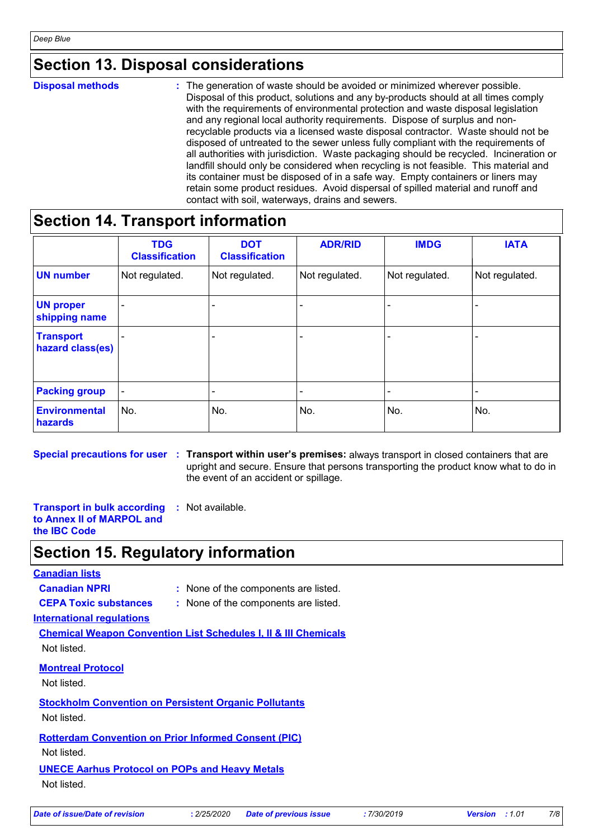### **Section 13. Disposal considerations**

#### The generation of waste should be avoided or minimized wherever possible. Disposal of this product, solutions and any by-products should at all times comply with the requirements of environmental protection and waste disposal legislation and any regional local authority requirements. Dispose of surplus and nonrecyclable products via a licensed waste disposal contractor. Waste should not be disposed of untreated to the sewer unless fully compliant with the requirements of all authorities with jurisdiction. Waste packaging should be recycled. Incineration or landfill should only be considered when recycling is not feasible. This material and its container must be disposed of in a safe way. Empty containers or liners may retain some product residues. Avoid dispersal of spilled material and runoff and contact with soil, waterways, drains and sewers. **Disposal methods :**

### **Section 14. Transport information**

|                                      | <b>TDG</b><br><b>Classification</b> | <b>DOT</b><br><b>Classification</b> | <b>ADR/RID</b> | <b>IMDG</b>              | <b>IATA</b>    |
|--------------------------------------|-------------------------------------|-------------------------------------|----------------|--------------------------|----------------|
| <b>UN number</b>                     | Not regulated.                      | Not regulated.                      | Not regulated. | Not regulated.           | Not regulated. |
| <b>UN proper</b><br>shipping name    |                                     |                                     |                |                          |                |
| <b>Transport</b><br>hazard class(es) |                                     |                                     |                | $\overline{\phantom{a}}$ |                |
| <b>Packing group</b>                 | $\overline{\phantom{0}}$            |                                     |                | $\overline{\phantom{0}}$ |                |
| <b>Environmental</b><br>hazards      | No.                                 | No.                                 | No.            | No.                      | No.            |

**Special precautions for user Transport within user's premises:** always transport in closed containers that are **:** upright and secure. Ensure that persons transporting the product know what to do in the event of an accident or spillage.

**Transport in bulk according :** Not available. **to Annex II of MARPOL and the IBC Code**

### **Section 15. Regulatory information**

#### **Canadian lists**

**Canadian NPRI :** None of the components are listed.

**CEPA Toxic substances :** None of the components are listed.

**International regulations**

**Chemical Weapon Convention List Schedules I, II & III Chemicals** Not listed.

**Montreal Protocol**

Not listed.

**Stockholm Convention on Persistent Organic Pollutants** Not listed.

**Rotterdam Convention on Prior Informed Consent (PIC)** Not listed.

**UNECE Aarhus Protocol on POPs and Heavy Metals** Not listed.